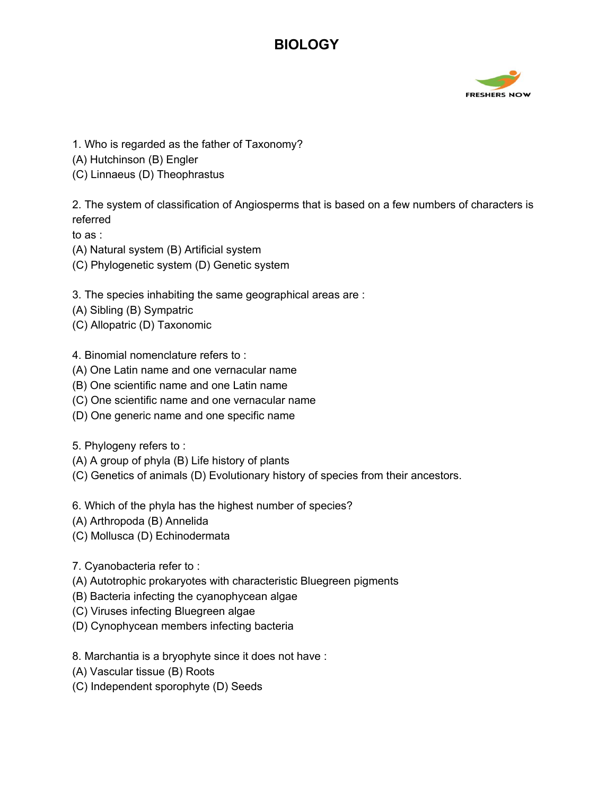

- 1. Who is regarded as the father of Taxonomy?
- (A) Hutchinson (B) Engler

(C) Linnaeus (D) Theophrastus

2. The system of classification of Angiosperms that is based on a few numbers of characters is referred

to as :

- (A) Natural system (B) Artificial system
- (C) Phylogenetic system (D) Genetic system

3. The species inhabiting the same geographical areas are :

- (A) Sibling (B) Sympatric
- (C) Allopatric (D) Taxonomic

4. Binomial nomenclature refers to :

- (A) One Latin name and one vernacular name
- (B) One scientific name and one Latin name
- (C) One scientific name and one vernacular name
- (D) One generic name and one specific name

5. Phylogeny refers to :

- (A) A group of phyla (B) Life history of plants
- (C) Genetics of animals (D) Evolutionary history of species from their ancestors.

6. Which of the phyla has the highest number of species?

- (A) Arthropoda (B) Annelida
- (C) Mollusca (D) Echinodermata
- 7. Cyanobacteria refer to :
- (A) Autotrophic prokaryotes with characteristic Bluegreen pigments
- (B) Bacteria infecting the cyanophycean algae
- (C) Viruses infecting Bluegreen algae
- (D) Cynophycean members infecting bacteria
- 8. Marchantia is a bryophyte since it does not have :
- (A) Vascular tissue (B) Roots
- (C) Independent sporophyte (D) Seeds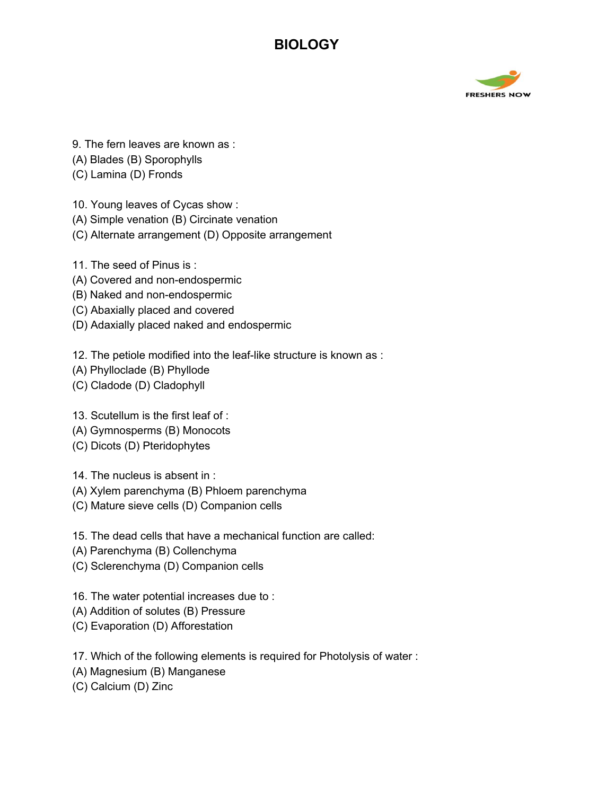

- 9. The fern leaves are known as :
- (A) Blades (B) Sporophylls
- (C) Lamina (D) Fronds
- 10. Young leaves of Cycas show :
- (A) Simple venation (B) Circinate venation
- (C) Alternate arrangement (D) Opposite arrangement
- 11. The seed of Pinus is :
- (A) Covered and non-endospermic
- (B) Naked and non-endospermic
- (C) Abaxially placed and covered
- (D) Adaxially placed naked and endospermic

12. The petiole modified into the leaf-like structure is known as :

- (A) Phylloclade (B) Phyllode
- (C) Cladode (D) Cladophyll
- 13. Scutellum is the first leaf of :
- (A) Gymnosperms (B) Monocots
- (C) Dicots (D) Pteridophytes
- 14. The nucleus is absent in :
- (A) Xylem parenchyma (B) Phloem parenchyma
- (C) Mature sieve cells (D) Companion cells
- 15. The dead cells that have a mechanical function are called:
- (A) Parenchyma (B) Collenchyma
- (C) Sclerenchyma (D) Companion cells
- 16. The water potential increases due to :
- (A) Addition of solutes (B) Pressure
- (C) Evaporation (D) Afforestation
- 17. Which of the following elements is required for Photolysis of water :
- (A) Magnesium (B) Manganese
- (C) Calcium (D) Zinc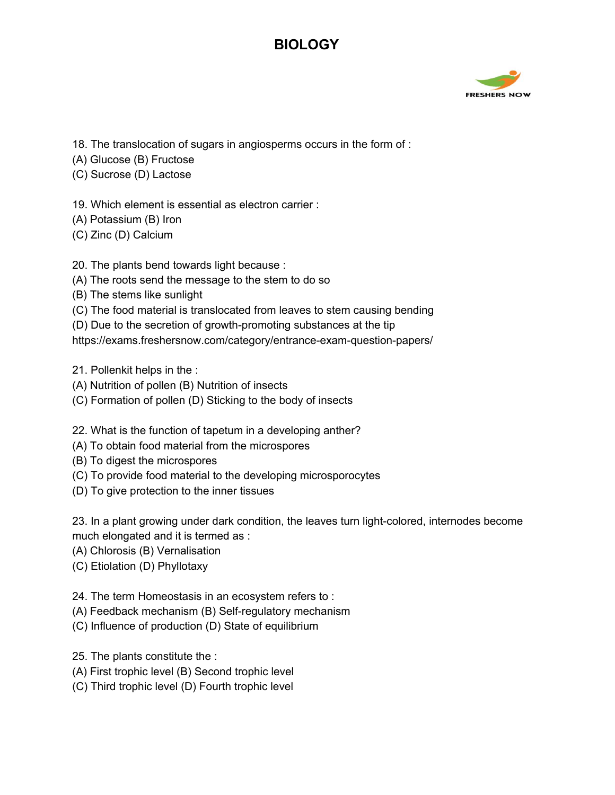

- 18. The translocation of sugars in angiosperms occurs in the form of :
- (A) Glucose (B) Fructose
- (C) Sucrose (D) Lactose
- 19. Which element is essential as electron carrier :
- (A) Potassium (B) Iron
- (C) Zinc (D) Calcium

20. The plants bend towards light because :

- (A) The roots send the message to the stem to do so
- (B) The stems like sunlight
- (C) The food material is translocated from leaves to stem causing bending
- (D) Due to the secretion of growth-promoting substances at the tip
- [https://exams.freshersnow.com/category/entrance-exam-ques](https://www.freshersnow.com/previous-year-question-papers/)tion-papers/
- 21. Pollenkit helps in the :
- (A) Nutrition of pollen (B) Nutrition of insects
- (C) Formation of pollen (D) Sticking to the body of insects
- 22. What is the function of tapetum in a developing anther?
- (A) To obtain food material from the microspores
- (B) To digest the microspores
- (C) To provide food material to the developing microsporocytes
- (D) To give protection to the inner tissues

23. In a plant growing under dark condition, the leaves turn light-colored, internodes become much elongated and it is termed as :

- (A) Chlorosis (B) Vernalisation
- (C) Etiolation (D) Phyllotaxy
- 24. The term Homeostasis in an ecosystem refers to :
- (A) Feedback mechanism (B) Self-regulatory mechanism
- (C) Influence of production (D) State of equilibrium
- 25. The plants constitute the :
- (A) First trophic level (B) Second trophic level
- (C) Third trophic level (D) Fourth trophic level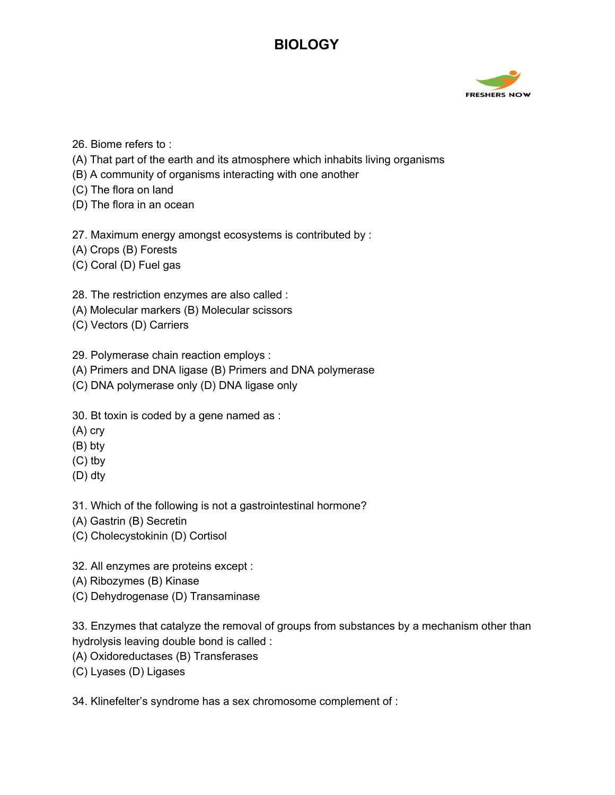

- 26. Biome refers to :
- (A) That part of the earth and its atmosphere which inhabits living organisms
- (B) A community of organisms interacting with one another
- (C) The flora on land
- (D) The flora in an ocean

27. Maximum energy amongst ecosystems is contributed by :

- (A) Crops (B) Forests
- (C) Coral (D) Fuel gas
- 28. The restriction enzymes are also called :
- (A) Molecular markers (B) Molecular scissors
- (C) Vectors (D) Carriers
- 29. Polymerase chain reaction employs :
- (A) Primers and DNA ligase (B) Primers and DNA polymerase
- (C) DNA polymerase only (D) DNA ligase only
- 30. Bt toxin is coded by a gene named as :
- (A) cry
- (B) bty
- (C) tby
- (D) dty
- 31. Which of the following is not a gastrointestinal hormone?
- (A) Gastrin (B) Secretin
- (C) Cholecystokinin (D) Cortisol
- 32. All enzymes are proteins except :
- (A) Ribozymes (B) Kinase
- (C) Dehydrogenase (D) Transaminase
- 33. Enzymes that catalyze the removal of groups from substances by a mechanism other than hydrolysis leaving double bond is called :
- (A) Oxidoreductases (B) Transferases
- (C) Lyases (D) Ligases

34. Klinefelter's syndrome has a sex chromosome complement of :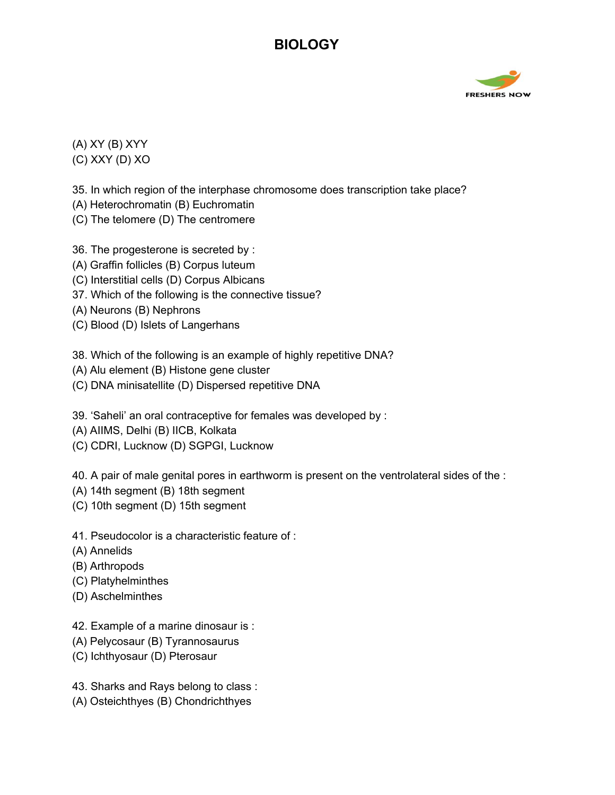

(A) XY (B) XYY (C) XXY (D) XO

35. In which region of the interphase chromosome does transcription take place?

- (A) Heterochromatin (B) Euchromatin
- (C) The telomere (D) The centromere
- 36. The progesterone is secreted by :
- (A) Graffin follicles (B) Corpus luteum
- (C) Interstitial cells (D) Corpus Albicans
- 37. Which of the following is the connective tissue?
- (A) Neurons (B) Nephrons
- (C) Blood (D) Islets of Langerhans

38. Which of the following is an example of highly repetitive DNA?

- (A) Alu element (B) Histone gene cluster
- (C) DNA minisatellite (D) Dispersed repetitive DNA
- 39. 'Saheli' an oral contraceptive for females was developed by :
- (A) AIIMS, Delhi (B) IICB, Kolkata
- (C) CDRI, Lucknow (D) SGPGI, Lucknow

40. A pair of male genital pores in earthworm is present on the ventrolateral sides of the :

- (A) 14th segment (B) 18th segment
- (C) 10th segment (D) 15th segment
- 41. Pseudocolor is a characteristic feature of :
- (A) Annelids
- (B) Arthropods
- (C) Platyhelminthes
- (D) Aschelminthes
- 42. Example of a marine dinosaur is :
- (A) Pelycosaur (B) Tyrannosaurus
- (C) Ichthyosaur (D) Pterosaur
- 43. Sharks and Rays belong to class :
- (A) Osteichthyes (B) Chondrichthyes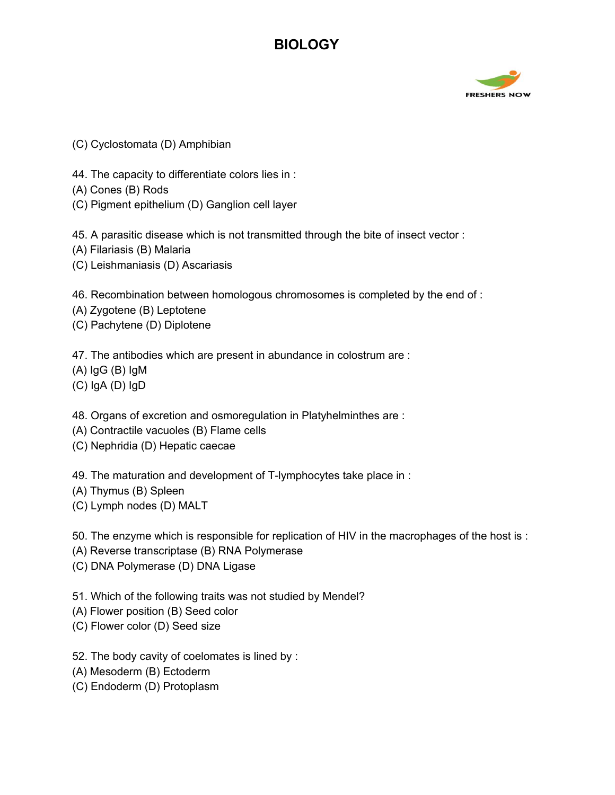

- (C) Cyclostomata (D) Amphibian
- 44. The capacity to differentiate colors lies in :
- (A) Cones (B) Rods
- (C) Pigment epithelium (D) Ganglion cell layer

45. A parasitic disease which is not transmitted through the bite of insect vector :

- (A) Filariasis (B) Malaria
- (C) Leishmaniasis (D) Ascariasis

46. Recombination between homologous chromosomes is completed by the end of :

- (A) Zygotene (B) Leptotene
- (C) Pachytene (D) Diplotene

47. The antibodies which are present in abundance in colostrum are :

- (A) IgG (B) IgM
- (C) IgA (D) IgD

48. Organs of excretion and osmoregulation in Platyhelminthes are :

- (A) Contractile vacuoles (B) Flame cells
- (C) Nephridia (D) Hepatic caecae

49. The maturation and development of T-lymphocytes take place in :

- (A) Thymus (B) Spleen
- (C) Lymph nodes (D) MALT

50. The enzyme which is responsible for replication of HIV in the macrophages of the host is :

- (A) Reverse transcriptase (B) RNA Polymerase
- (C) DNA Polymerase (D) DNA Ligase
- 51. Which of the following traits was not studied by Mendel?
- (A) Flower position (B) Seed color
- (C) Flower color (D) Seed size
- 52. The body cavity of coelomates is lined by :
- (A) Mesoderm (B) Ectoderm
- (C) Endoderm (D) Protoplasm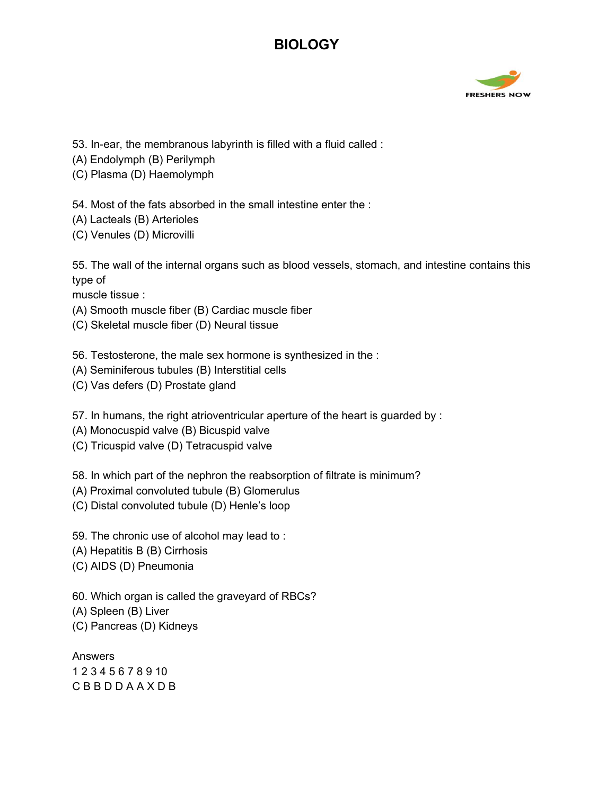

53. In-ear, the membranous labyrinth is filled with a fluid called :

(A) Endolymph (B) Perilymph

(C) Plasma (D) Haemolymph

54. Most of the fats absorbed in the small intestine enter the :

(A) Lacteals (B) Arterioles

(C) Venules (D) Microvilli

55. The wall of the internal organs such as blood vessels, stomach, and intestine contains this type of

muscle tissue :

(A) Smooth muscle fiber (B) Cardiac muscle fiber

(C) Skeletal muscle fiber (D) Neural tissue

56. Testosterone, the male sex hormone is synthesized in the :

(A) Seminiferous tubules (B) Interstitial cells

(C) Vas defers (D) Prostate gland

57. In humans, the right atrioventricular aperture of the heart is guarded by :

(A) Monocuspid valve (B) Bicuspid valve

(C) Tricuspid valve (D) Tetracuspid valve

58. In which part of the nephron the reabsorption of filtrate is minimum?

(A) Proximal convoluted tubule (B) Glomerulus

(C) Distal convoluted tubule (D) Henle's loop

59. The chronic use of alcohol may lead to :

(A) Hepatitis B (B) Cirrhosis

(C) AIDS (D) Pneumonia

60. Which organ is called the graveyard of RBCs?

(A) Spleen (B) Liver

(C) Pancreas (D) Kidneys

Answers 1 2 3 4 5 6 7 8 9 10 C B B D D A A X D B